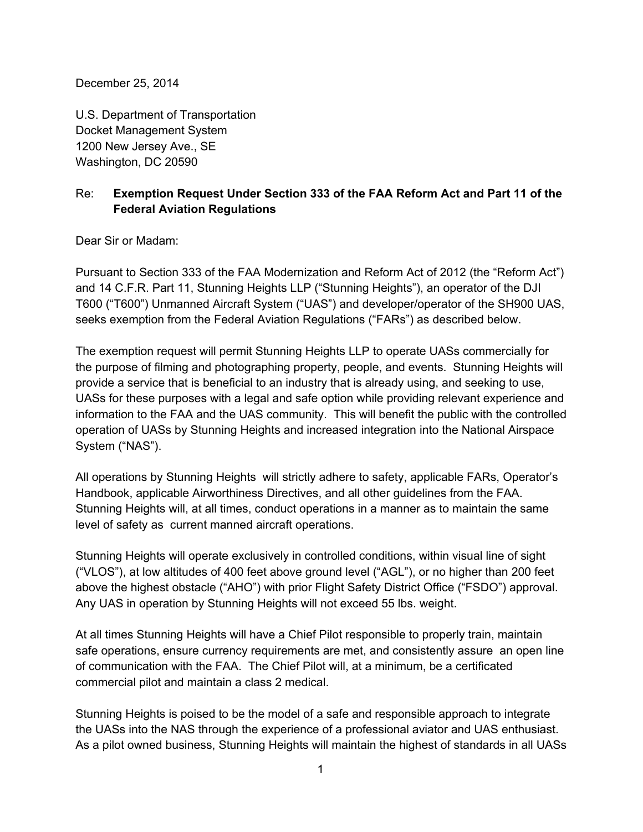December 25, 2014

U.S. Department of Transportation Docket Management System 1200 New Jersey Ave., SE Washington, DC 20590

# Re: **Exemption Request Under Section 333 of the FAA Reform Act and Part 11 of the Federal Aviation Regulations**

Dear Sir or Madam:

Pursuant to Section 333 of the FAA Modernization and Reform Act of 2012 (the "Reform Act") and 14 C.F.R. Part 11, Stunning Heights LLP ("Stunning Heights"), an operator of the DJI T600 ("T600") Unmanned Aircraft System ("UAS") and developer/operator of the SH900 UAS, seeks exemption from the Federal Aviation Regulations ("FARs") as described below.

The exemption request will permit Stunning Heights LLP to operate UASs commercially for the purpose of filming and photographing property, people, and events. Stunning Heights will provide a service that is beneficial to an industry that is already using, and seeking to use, UASs for these purposes with a legal and safe option while providing relevant experience and information to the FAA and the UAS community. This will benefit the public with the controlled operation of UASs by Stunning Heights and increased integration into the National Airspace System ("NAS").

All operations by Stunning Heights will strictly adhere to safety, applicable FARs, Operator's Handbook, applicable Airworthiness Directives, and all other guidelines from the FAA. Stunning Heights will, at all times, conduct operations in a manner as to maintain the same level of safety as current manned aircraft operations.

Stunning Heights will operate exclusively in controlled conditions, within visual line of sight ("VLOS"), at low altitudes of 400 feet above ground level ("AGL"), or no higher than 200 feet above the highest obstacle ("AHO") with prior Flight Safety District Office ("FSDO") approval. Any UAS in operation by Stunning Heights will not exceed 55 lbs. weight.

At all times Stunning Heights will have a Chief Pilot responsible to properly train, maintain safe operations, ensure currency requirements are met, and consistently assure an open line of communication with the FAA. The Chief Pilot will, at a minimum, be a certificated commercial pilot and maintain a class 2 medical.

Stunning Heights is poised to be the model of a safe and responsible approach to integrate the UASs into the NAS through the experience of a professional aviator and UAS enthusiast. As a pilot owned business, Stunning Heights will maintain the highest of standards in all UASs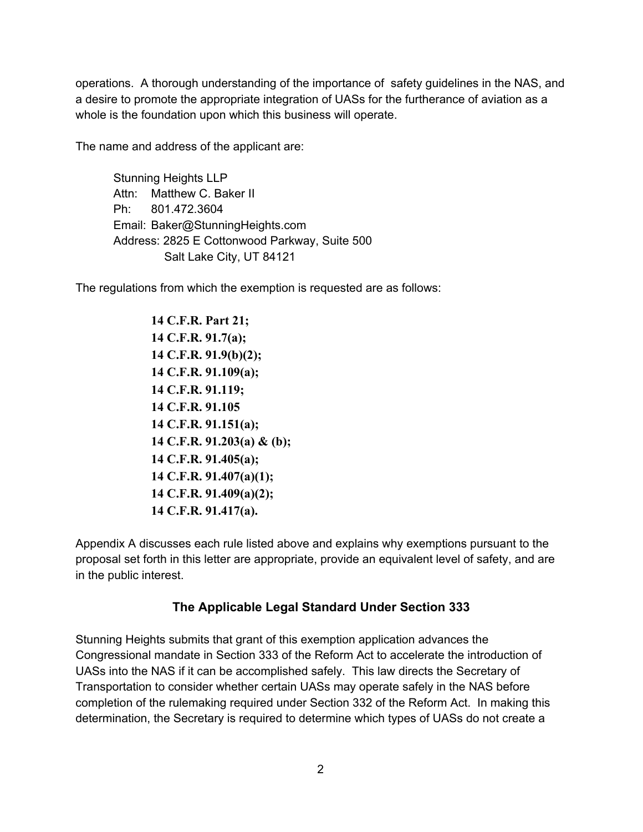operations. A thorough understanding of the importance of safety guidelines in the NAS, and a desire to promote the appropriate integration of UASs for the furtherance of aviation as a whole is the foundation upon which this business will operate.

The name and address of the applicant are:

Stunning Heights LLP Attn: Matthew C. Baker II Ph: 801.472.3604 Email: Baker@StunningHeights.com Address: 2825 E Cottonwood Parkway, Suite 500 Salt Lake City, UT 84121

The regulations from which the exemption is requested are as follows:

 **C.F.R. Part 21; C.F.R. 91.7(a); C.F.R. 91.9(b)(2); C.F.R. 91.109(a); C.F.R. 91.119; C.F.R. 91.105 C.F.R. 91.151(a); C.F.R. 91.203(a) & (b); C.F.R. 91.405(a); C.F.R. 91.407(a)(1); C.F.R. 91.409(a)(2); C.F.R. 91.417(a).**

Appendix A discusses each rule listed above and explains why exemptions pursuant to the proposal set forth in this letter are appropriate, provide an equivalent level of safety, and are in the public interest.

# **The Applicable Legal Standard Under Section 333**

Stunning Heights submits that grant of this exemption application advances the Congressional mandate in Section 333 of the Reform Act to accelerate the introduction of UASs into the NAS if it can be accomplished safely. This law directs the Secretary of Transportation to consider whether certain UASs may operate safely in the NAS before completion of the rulemaking required under Section 332 of the Reform Act. In making this determination, the Secretary is required to determine which types of UASs do not create a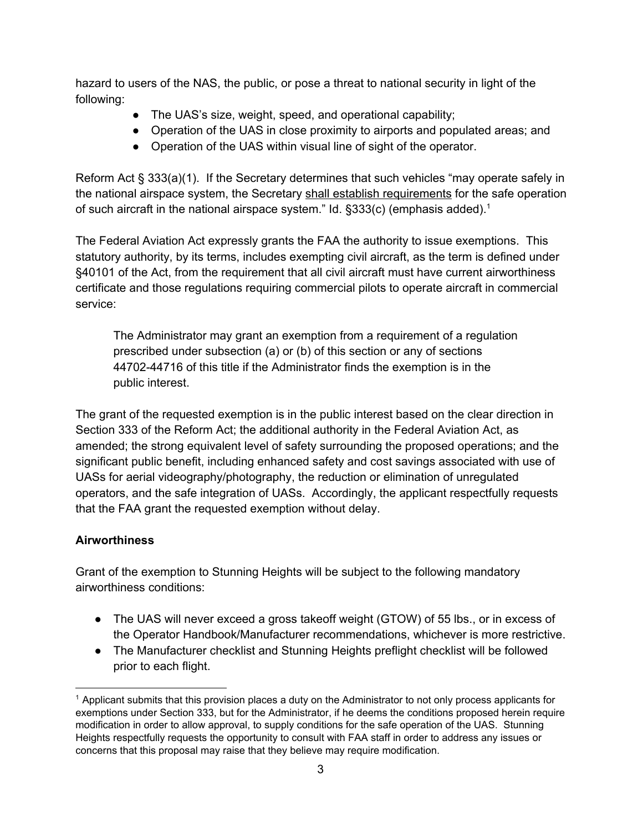hazard to users of the NAS, the public, or pose a threat to national security in light of the following:

- The UAS's size, weight, speed, and operational capability;
- Operation of the UAS in close proximity to airports and populated areas; and
- Operation of the UAS within visual line of sight of the operator.

Reform Act § 333(a)(1). If the Secretary determines that such vehicles "may operate safely in the national airspace system, the Secretary shall establish requirements for the safe operation of such aircraft in the national airspace system." Id.  $\S 333(c)$  (emphasis added).<sup>1</sup>

The Federal Aviation Act expressly grants the FAA the authority to issue exemptions. This statutory authority, by its terms, includes exempting civil aircraft, as the term is defined under §40101 of the Act, from the requirement that all civil aircraft must have current airworthiness certificate and those regulations requiring commercial pilots to operate aircraft in commercial service:

The Administrator may grant an exemption from a requirement of a regulation prescribed under subsection (a) or (b) of this section or any of sections 44702-44716 of this title if the Administrator finds the exemption is in the public interest.

The grant of the requested exemption is in the public interest based on the clear direction in Section 333 of the Reform Act; the additional authority in the Federal Aviation Act, as amended; the strong equivalent level of safety surrounding the proposed operations; and the significant public benefit, including enhanced safety and cost savings associated with use of UASs for aerial videography/photography, the reduction or elimination of unregulated operators, and the safe integration of UASs. Accordingly, the applicant respectfully requests that the FAA grant the requested exemption without delay.

### **Airworthiness**

Grant of the exemption to Stunning Heights will be subject to the following mandatory airworthiness conditions:

- The UAS will never exceed a gross takeoff weight (GTOW) of 55 lbs., or in excess of the Operator Handbook/Manufacturer recommendations, whichever is more restrictive.
- The Manufacturer checklist and Stunning Heights preflight checklist will be followed prior to each flight.

<sup>&</sup>lt;sup>1</sup> Applicant submits that this provision places a duty on the Administrator to not only process applicants for exemptions under Section 333, but for the Administrator, if he deems the conditions proposed herein require modification in order to allow approval, to supply conditions for the safe operation of the UAS. Stunning Heights respectfully requests the opportunity to consult with FAA staff in order to address any issues or concerns that this proposal may raise that they believe may require modification.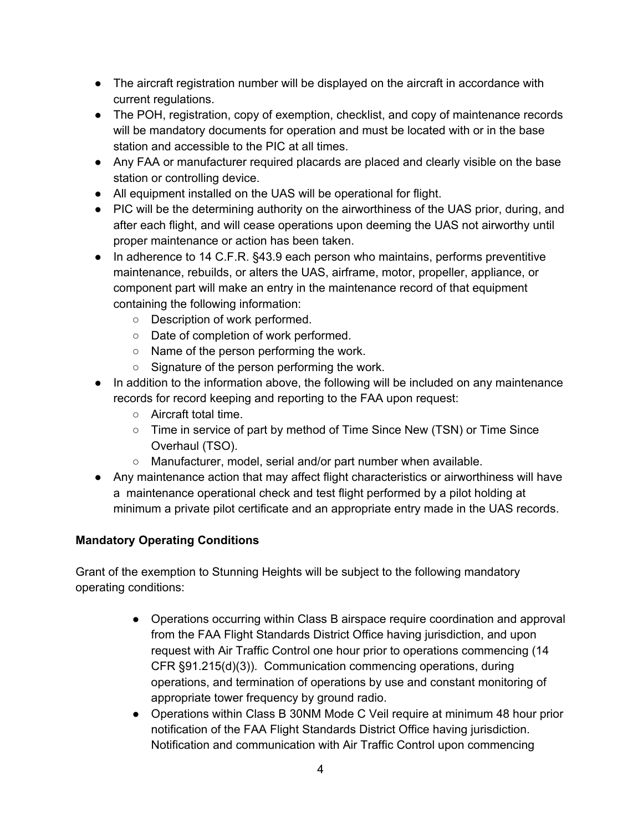- The aircraft registration number will be displayed on the aircraft in accordance with current regulations.
- The POH, registration, copy of exemption, checklist, and copy of maintenance records will be mandatory documents for operation and must be located with or in the base station and accessible to the PIC at all times.
- Any FAA or manufacturer required placards are placed and clearly visible on the base station or controlling device.
- All equipment installed on the UAS will be operational for flight.
- PIC will be the determining authority on the airworthiness of the UAS prior, during, and after each flight, and will cease operations upon deeming the UAS not airworthy until proper maintenance or action has been taken.
- In adherence to 14 C.F.R. §43.9 each person who maintains, performs preventitive maintenance, rebuilds, or alters the UAS, airframe, motor, propeller, appliance, or component part will make an entry in the maintenance record of that equipment containing the following information:
	- Description of work performed.
	- Date of completion of work performed.
	- Name of the person performing the work.
	- Signature of the person performing the work.
- In addition to the information above, the following will be included on any maintenance records for record keeping and reporting to the FAA upon request:
	- Aircraft total time.
	- Time in service of part by method of Time Since New (TSN) or Time Since Overhaul (TSO).
	- Manufacturer, model, serial and/or part number when available.
- Any maintenance action that may affect flight characteristics or airworthiness will have a maintenance operational check and test flight performed by a pilot holding at minimum a private pilot certificate and an appropriate entry made in the UAS records.

# **Mandatory Operating Conditions**

Grant of the exemption to Stunning Heights will be subject to the following mandatory operating conditions:

- Operations occurring within Class B airspace require coordination and approval from the FAA Flight Standards District Office having jurisdiction, and upon request with Air Traffic Control one hour prior to operations commencing (14 CFR §91.215(d)(3)). Communication commencing operations, during operations, and termination of operations by use and constant monitoring of appropriate tower frequency by ground radio.
- Operations within Class B 30NM Mode C Veil require at minimum 48 hour prior notification of the FAA Flight Standards District Office having jurisdiction. Notification and communication with Air Traffic Control upon commencing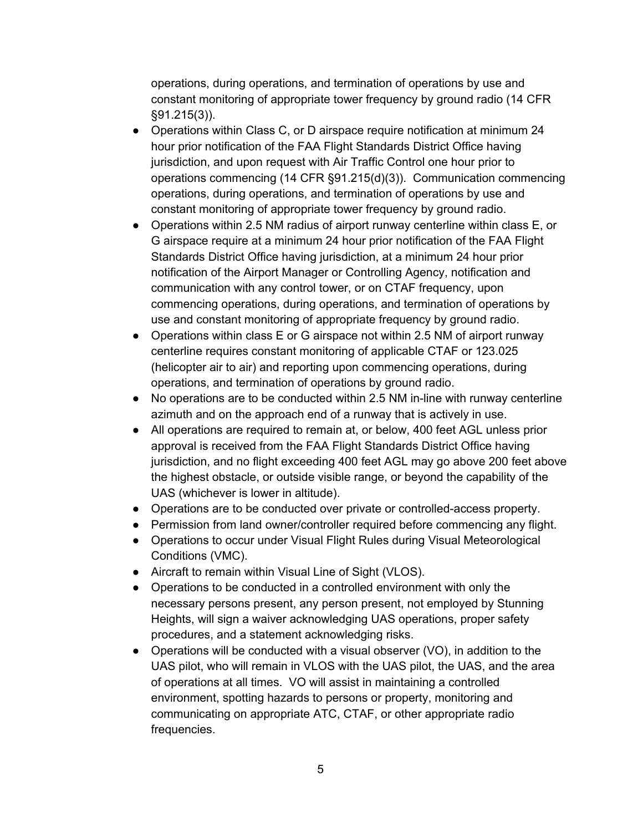operations, during operations, and termination of operations by use and constant monitoring of appropriate tower frequency by ground radio (14 CFR §91.215(3)).

- Operations within Class C, or D airspace require notification at minimum 24 hour prior notification of the FAA Flight Standards District Office having jurisdiction, and upon request with Air Traffic Control one hour prior to operations commencing (14 CFR §91.215(d)(3)). Communication commencing operations, during operations, and termination of operations by use and constant monitoring of appropriate tower frequency by ground radio.
- Operations within 2.5 NM radius of airport runway centerline within class E, or G airspace require at a minimum 24 hour prior notification of the FAA Flight Standards District Office having jurisdiction, at a minimum 24 hour prior notification of the Airport Manager or Controlling Agency, notification and communication with any control tower, or on CTAF frequency, upon commencing operations, during operations, and termination of operations by use and constant monitoring of appropriate frequency by ground radio.
- Operations within class E or G airspace not within 2.5 NM of airport runway centerline requires constant monitoring of applicable CTAF or 123.025 (helicopter air to air) and reporting upon commencing operations, during operations, and termination of operations by ground radio.
- No operations are to be conducted within 2.5 NM in-line with runway centerline azimuth and on the approach end of a runway that is actively in use.
- All operations are required to remain at, or below, 400 feet AGL unless prior approval is received from the FAA Flight Standards District Office having jurisdiction, and no flight exceeding 400 feet AGL may go above 200 feet above the highest obstacle, or outside visible range, or beyond the capability of the UAS (whichever is lower in altitude).
- Operations are to be conducted over private or controlled-access property.
- Permission from land owner/controller required before commencing any flight.
- Operations to occur under Visual Flight Rules during Visual Meteorological Conditions (VMC).
- Aircraft to remain within Visual Line of Sight (VLOS).
- Operations to be conducted in a controlled environment with only the necessary persons present, any person present, not employed by Stunning Heights, will sign a waiver acknowledging UAS operations, proper safety procedures, and a statement acknowledging risks.
- Operations will be conducted with a visual observer  $(VO)$ , in addition to the UAS pilot, who will remain in VLOS with the UAS pilot, the UAS, and the area of operations at all times. VO will assist in maintaining a controlled environment, spotting hazards to persons or property, monitoring and communicating on appropriate ATC, CTAF, or other appropriate radio frequencies.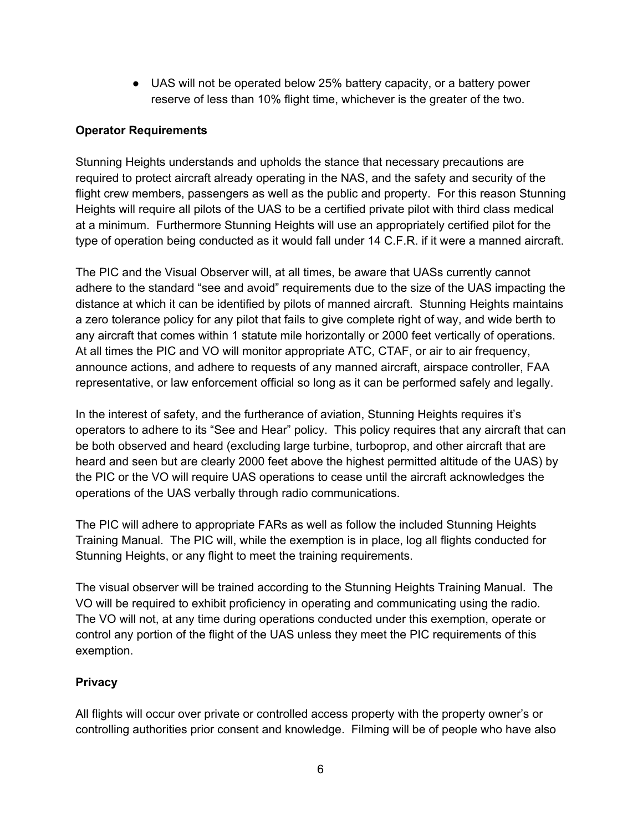● UAS will not be operated below 25% battery capacity, or a battery power reserve of less than 10% flight time, whichever is the greater of the two.

## **Operator Requirements**

Stunning Heights understands and upholds the stance that necessary precautions are required to protect aircraft already operating in the NAS, and the safety and security of the flight crew members, passengers as well as the public and property. For this reason Stunning Heights will require all pilots of the UAS to be a certified private pilot with third class medical at a minimum. Furthermore Stunning Heights will use an appropriately certified pilot for the type of operation being conducted as it would fall under 14 C.F.R. if it were a manned aircraft.

The PIC and the Visual Observer will, at all times, be aware that UASs currently cannot adhere to the standard "see and avoid" requirements due to the size of the UAS impacting the distance at which it can be identified by pilots of manned aircraft. Stunning Heights maintains a zero tolerance policy for any pilot that fails to give complete right of way, and wide berth to any aircraft that comes within 1 statute mile horizontally or 2000 feet vertically of operations. At all times the PIC and VO will monitor appropriate ATC, CTAF, or air to air frequency, announce actions, and adhere to requests of any manned aircraft, airspace controller, FAA representative, or law enforcement official so long as it can be performed safely and legally.

In the interest of safety, and the furtherance of aviation, Stunning Heights requires it's operators to adhere to its "See and Hear" policy. This policy requires that any aircraft that can be both observed and heard (excluding large turbine, turboprop, and other aircraft that are heard and seen but are clearly 2000 feet above the highest permitted altitude of the UAS) by the PIC or the VO will require UAS operations to cease until the aircraft acknowledges the operations of the UAS verbally through radio communications.

The PIC will adhere to appropriate FARs as well as follow the included Stunning Heights Training Manual. The PIC will, while the exemption is in place, log all flights conducted for Stunning Heights, or any flight to meet the training requirements.

The visual observer will be trained according to the Stunning Heights Training Manual. The VO will be required to exhibit proficiency in operating and communicating using the radio. The VO will not, at any time during operations conducted under this exemption, operate or control any portion of the flight of the UAS unless they meet the PIC requirements of this exemption.

# **Privacy**

All flights will occur over private or controlled access property with the property owner's or controlling authorities prior consent and knowledge. Filming will be of people who have also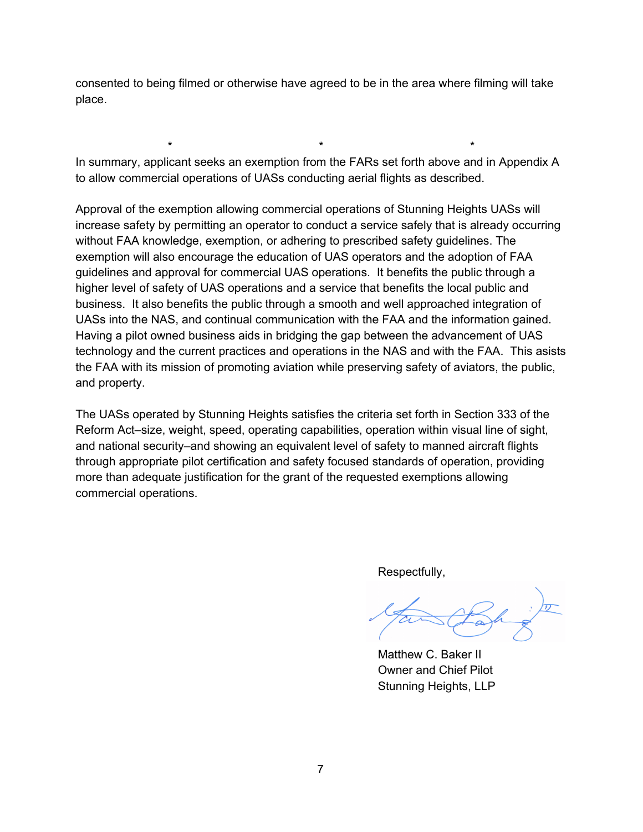consented to being filmed or otherwise have agreed to be in the area where filming will take place.

In summary, applicant seeks an exemption from the FARs set forth above and in Appendix A to allow commercial operations of UASs conducting aerial flights as described.

\* \* \*

Approval of the exemption allowing commercial operations of Stunning Heights UASs will increase safety by permitting an operator to conduct a service safely that is already occurring without FAA knowledge, exemption, or adhering to prescribed safety guidelines. The exemption will also encourage the education of UAS operators and the adoption of FAA guidelines and approval for commercial UAS operations. It benefits the public through a higher level of safety of UAS operations and a service that benefits the local public and business. It also benefits the public through a smooth and well approached integration of UASs into the NAS, and continual communication with the FAA and the information gained. Having a pilot owned business aids in bridging the gap between the advancement of UAS technology and the current practices and operations in the NAS and with the FAA. This asists the FAA with its mission of promoting aviation while preserving safety of aviators, the public, and property.

The UASs operated by Stunning Heights satisfies the criteria set forth in Section 333 of the Reform Act–size, weight, speed, operating capabilities, operation within visual line of sight, and national security–and showing an equivalent level of safety to manned aircraft flights through appropriate pilot certification and safety focused standards of operation, providing more than adequate justification for the grant of the requested exemptions allowing commercial operations.

Respectfully,

Matthew C. Baker II Owner and Chief Pilot Stunning Heights, LLP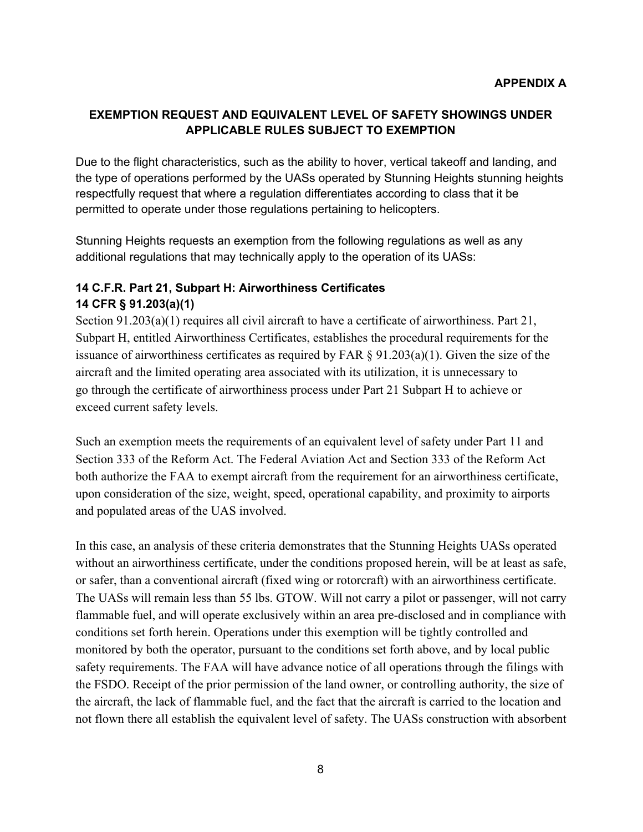# **EXEMPTION REQUEST AND EQUIVALENT LEVEL OF SAFETY SHOWINGS UNDER APPLICABLE RULES SUBJECT TO EXEMPTION**

Due to the flight characteristics, such as the ability to hover, vertical takeoff and landing, and the type of operations performed by the UASs operated by Stunning Heights stunning heights respectfully request that where a regulation differentiates according to class that it be permitted to operate under those regulations pertaining to helicopters.

Stunning Heights requests an exemption from the following regulations as well as any additional regulations that may technically apply to the operation of its UASs:

## **14 C.F.R. Part 21, Subpart H: Airworthiness Certificates 14 CFR § 91.203(a)(1)**

Section 91.203(a)(1) requires all civil aircraft to have a certificate of airworthiness. Part 21, Subpart H, entitled Airworthiness Certificates, establishes the procedural requirements for the issuance of airworthiness certificates as required by FAR § 91.203(a)(1). Given the size of the aircraft and the limited operating area associated with its utilization, it is unnecessary to go through the certificate of airworthiness process under Part 21 Subpart H to achieve or exceed current safety levels.

Such an exemption meets the requirements of an equivalent level of safety under Part 11 and Section 333 of the Reform Act. The Federal Aviation Act and Section 333 of the Reform Act both authorize the FAA to exempt aircraft from the requirement for an airworthiness certificate, upon consideration of the size, weight, speed, operational capability, and proximity to airports and populated areas of the UAS involved.

In this case, an analysis of these criteria demonstrates that the Stunning Heights UASs operated without an airworthiness certificate, under the conditions proposed herein, will be at least as safe, or safer, than a conventional aircraft (fixed wing or rotorcraft) with an airworthiness certificate. The UASs will remain less than 55 lbs. GTOW. Will not carry a pilot or passenger, will not carry flammable fuel, and will operate exclusively within an area pre-disclosed and in compliance with conditions set forth herein. Operations under this exemption will be tightly controlled and monitored by both the operator, pursuant to the conditions set forth above, and by local public safety requirements. The FAA will have advance notice of all operations through the filings with the FSDO. Receipt of the prior permission of the land owner, or controlling authority, the size of the aircraft, the lack of flammable fuel, and the fact that the aircraft is carried to the location and not flown there all establish the equivalent level of safety. The UASs construction with absorbent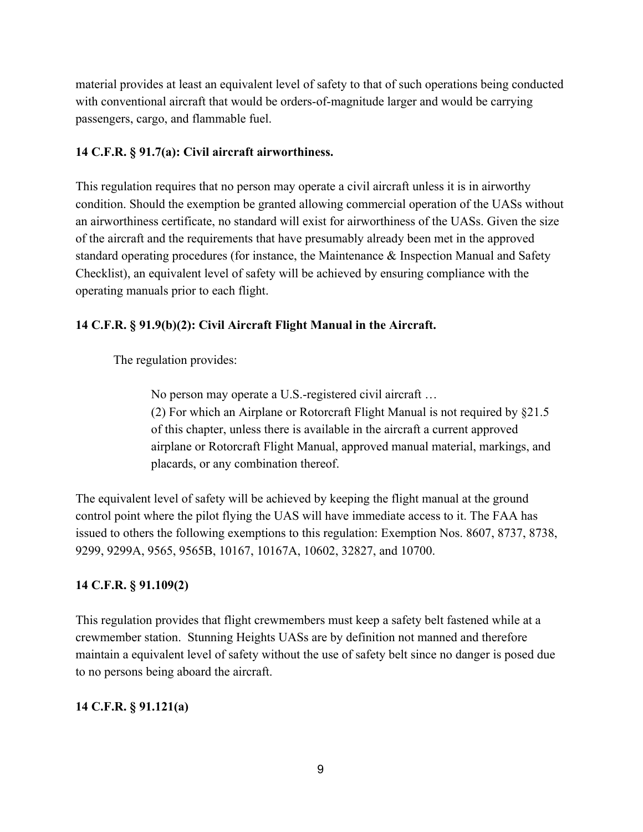material provides at least an equivalent level of safety to that of such operations being conducted with conventional aircraft that would be orders-of-magnitude larger and would be carrying passengers, cargo, and flammable fuel.

## **14 C.F.R. § 91.7(a): Civil aircraft airworthiness.**

This regulation requires that no person may operate a civil aircraft unless it is in airworthy condition. Should the exemption be granted allowing commercial operation of the UASs without an airworthiness certificate, no standard will exist for airworthiness of the UASs. Given the size of the aircraft and the requirements that have presumably already been met in the approved standard operating procedures (for instance, the Maintenance & Inspection Manual and Safety Checklist), an equivalent level of safety will be achieved by ensuring compliance with the operating manuals prior to each flight.

# **14 C.F.R. § 91.9(b)(2): Civil Aircraft Flight Manual in the Aircraft.**

The regulation provides:

No person may operate a U.S.-registered civil aircraft ... (2) For which an Airplane or Rotorcraft Flight Manual is not required by §21.5 of this chapter, unless there is available in the aircraft a current approved airplane or Rotorcraft Flight Manual, approved manual material, markings, and placards, or any combination thereof.

The equivalent level of safety will be achieved by keeping the flight manual at the ground control point where the pilot flying the UAS will have immediate access to it. The FAA has issued to others the following exemptions to this regulation: Exemption Nos. 8607, 8737, 8738, 9299, 9299A, 9565, 9565B, 10167, 10167A, 10602, 32827, and 10700.

# **14 C.F.R. § 91.109(2)**

This regulation provides that flight crewmembers must keep a safety belt fastened while at a crewmember station. Stunning Heights UASs are by definition not manned and therefore maintain a equivalent level of safety without the use of safety belt since no danger is posed due to no persons being aboard the aircraft.

# **14 C.F.R. § 91.121(a)**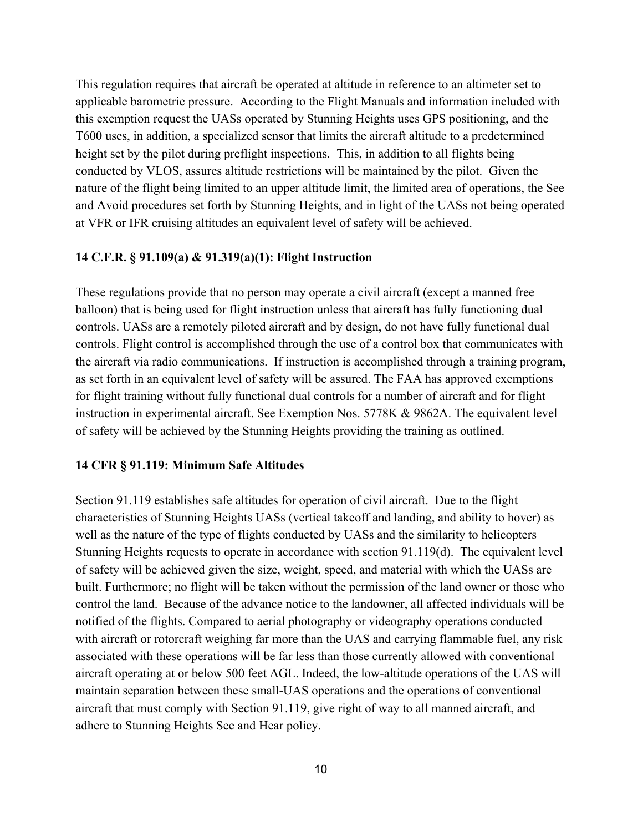This regulation requires that aircraft be operated at altitude in reference to an altimeter set to applicable barometric pressure. According to the Flight Manuals and information included with this exemption request the UASs operated by Stunning Heights uses GPS positioning, and the T600 uses, in addition, a specialized sensor that limits the aircraft altitude to a predetermined height set by the pilot during preflight inspections. This, in addition to all flights being conducted by VLOS, assures altitude restrictions will be maintained by the pilot. Given the nature of the flight being limited to an upper altitude limit, the limited area of operations, the See and Avoid procedures set forth by Stunning Heights, and in light of the UASs not being operated at VFR or IFR cruising altitudes an equivalent level of safety will be achieved.

#### **14 C.F.R. § 91.109(a) & 91.319(a)(1): Flight Instruction**

These regulations provide that no person may operate a civil aircraft (except a manned free balloon) that is being used for flight instruction unless that aircraft has fully functioning dual controls. UASs are a remotely piloted aircraft and by design, do not have fully functional dual controls. Flight control is accomplished through the use of a control box that communicates with the aircraft via radio communications. If instruction is accomplished through a training program, as set forth in an equivalent level of safety will be assured. The FAA has approved exemptions for flight training without fully functional dual controls for a number of aircraft and for flight instruction in experimental aircraft. See Exemption Nos. 5778K & 9862A. The equivalent level of safety will be achieved by the Stunning Heights providing the training as outlined.

#### **14 CFR § 91.119: Minimum Safe Altitudes**

Section 91.119 establishes safe altitudes for operation of civil aircraft. Due to the flight characteristics of Stunning Heights UASs (vertical takeoff and landing, and ability to hover) as well as the nature of the type of flights conducted by UASs and the similarity to helicopters Stunning Heights requests to operate in accordance with section 91.119(d). The equivalent level of safety will be achieved given the size, weight, speed, and material with which the UASs are built. Furthermore; no flight will be taken without the permission of the land owner or those who control the land. Because of the advance notice to the landowner, all affected individuals will be notified of the flights. Compared to aerial photography or videography operations conducted with aircraft or rotorcraft weighing far more than the UAS and carrying flammable fuel, any risk associated with these operations will be far less than those currently allowed with conventional aircraft operating at or below 500 feet AGL. Indeed, the lowaltitude operations of the UAS will maintain separation between these small-UAS operations and the operations of conventional aircraft that must comply with Section 91.119, give right of way to all manned aircraft, and adhere to Stunning Heights See and Hear policy.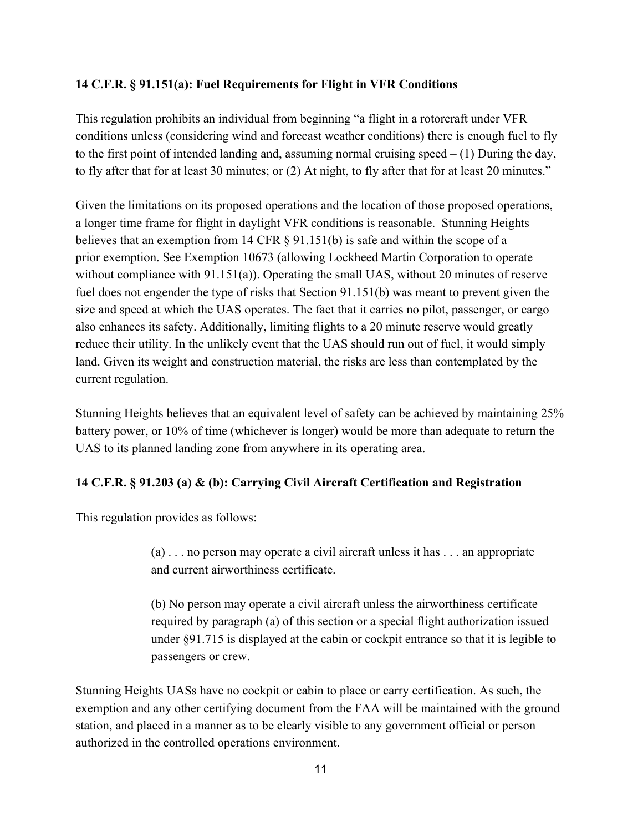## **14 C.F.R. § 91.151(a): Fuel Requirements for Flight in VFR Conditions**

This regulation prohibits an individual from beginning "a flight in a rotorcraft under VFR conditions unless (considering wind and forecast weather conditions) there is enough fuel to fly to the first point of intended landing and, assuming normal cruising speed  $- (1)$  During the day, to fly after that for at least 30 minutes; or (2) At night, to fly after that for at least 20 minutes."

Given the limitations on its proposed operations and the location of those proposed operations, a longer time frame for flight in daylight VFR conditions is reasonable. Stunning Heights believes that an exemption from 14 CFR § 91.151(b) is safe and within the scope of a prior exemption. See Exemption 10673 (allowing Lockheed Martin Corporation to operate without compliance with 91.151(a)). Operating the small UAS, without 20 minutes of reserve fuel does not engender the type of risks that Section 91.151(b) was meant to prevent given the size and speed at which the UAS operates. The fact that it carries no pilot, passenger, or cargo also enhances its safety. Additionally, limiting flights to a 20 minute reserve would greatly reduce their utility. In the unlikely event that the UAS should run out of fuel, it would simply land. Given its weight and construction material, the risks are less than contemplated by the current regulation.

Stunning Heights believes that an equivalent level of safety can be achieved by maintaining 25% battery power, or 10% of time (whichever is longer) would be more than adequate to return the UAS to its planned landing zone from anywhere in its operating area.

# **14 C.F.R. § 91.203 (a) & (b): Carrying Civil Aircraft Certification and Registration**

This regulation provides as follows:

(a) . . . no person may operate a civil aircraft unless it has . . . an appropriate and current airworthiness certificate.

(b) No person may operate a civil aircraft unless the airworthiness certificate required by paragraph (a) of this section or a special flight authorization issued under §91.715 is displayed at the cabin or cockpit entrance so that it is legible to passengers or crew.

Stunning Heights UASs have no cockpit or cabin to place or carry certification. As such, the exemption and any other certifying document from the FAA will be maintained with the ground station, and placed in a manner as to be clearly visible to any government official or person authorized in the controlled operations environment.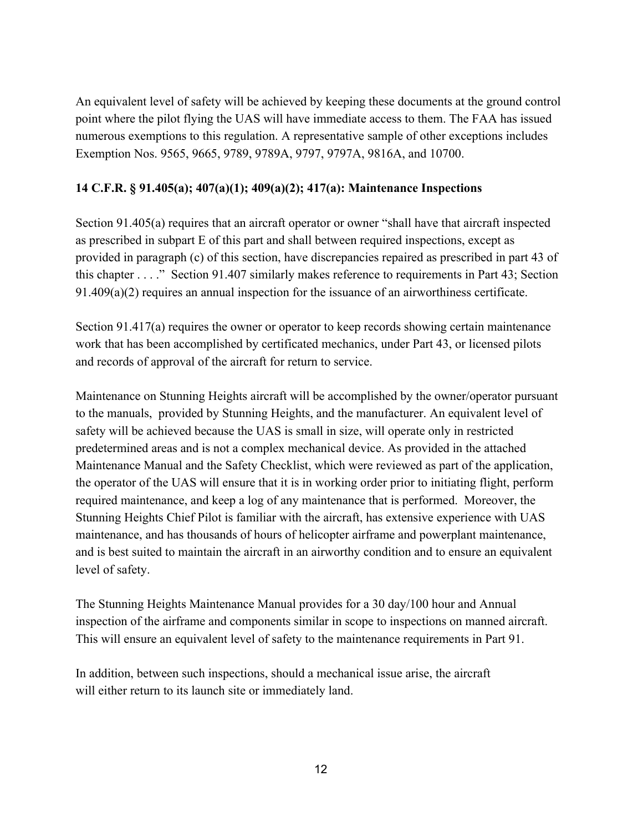An equivalent level of safety will be achieved by keeping these documents at the ground control point where the pilot flying the UAS will have immediate access to them. The FAA has issued numerous exemptions to this regulation. A representative sample of other exceptions includes Exemption Nos. 9565, 9665, 9789, 9789A, 9797, 9797A, 9816A, and 10700.

# **14 C.F.R. § 91.405(a); 407(a)(1); 409(a)(2); 417(a): Maintenance Inspections**

Section 91.405(a) requires that an aircraft operator or owner "shall have that aircraft inspected as prescribed in subpart E of this part and shall between required inspections, except as provided in paragraph (c) of this section, have discrepancies repaired as prescribed in part 43 of this chapter . . . ." Section 91.407 similarly makes reference to requirements in Part 43; Section 91.409(a)(2) requires an annual inspection for the issuance of an airworthiness certificate.

Section 91.417(a) requires the owner or operator to keep records showing certain maintenance work that has been accomplished by certificated mechanics, under Part 43, or licensed pilots and records of approval of the aircraft for return to service.

Maintenance on Stunning Heights aircraft will be accomplished by the owner/operator pursuant to the manuals, provided by Stunning Heights, and the manufacturer. An equivalent level of safety will be achieved because the UAS is small in size, will operate only in restricted predetermined areas and is not a complex mechanical device. As provided in the attached Maintenance Manual and the Safety Checklist, which were reviewed as part of the application, the operator of the UAS will ensure that it is in working order prior to initiating flight, perform required maintenance, and keep a log of any maintenance that is performed. Moreover, the Stunning Heights Chief Pilot is familiar with the aircraft, has extensive experience with UAS maintenance, and has thousands of hours of helicopter airframe and powerplant maintenance, and is best suited to maintain the aircraft in an airworthy condition and to ensure an equivalent level of safety.

The Stunning Heights Maintenance Manual provides for a 30 day/100 hour and Annual inspection of the airframe and components similar in scope to inspections on manned aircraft. This will ensure an equivalent level of safety to the maintenance requirements in Part 91.

In addition, between such inspections, should a mechanical issue arise, the aircraft will either return to its launch site or immediately land.